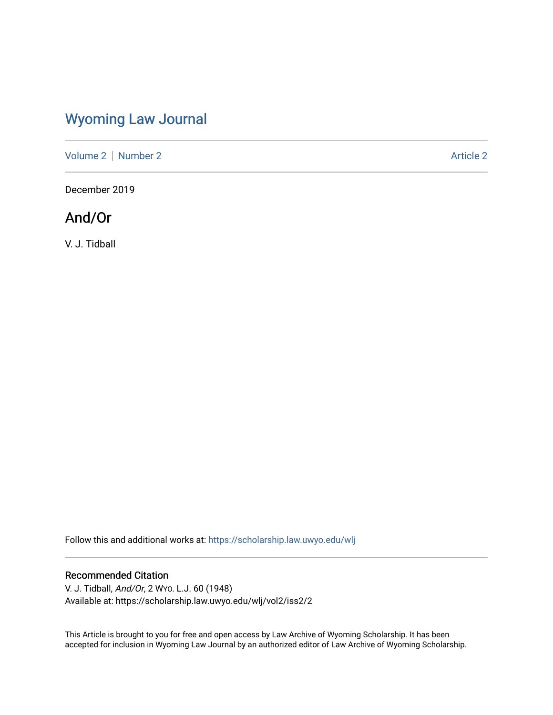# [Wyoming Law Journal](https://scholarship.law.uwyo.edu/wlj)

[Volume 2](https://scholarship.law.uwyo.edu/wlj/vol2) | [Number 2](https://scholarship.law.uwyo.edu/wlj/vol2/iss2) Article 2

December 2019

## And/Or

V. J. Tidball

Follow this and additional works at: [https://scholarship.law.uwyo.edu/wlj](https://scholarship.law.uwyo.edu/wlj?utm_source=scholarship.law.uwyo.edu%2Fwlj%2Fvol2%2Fiss2%2F2&utm_medium=PDF&utm_campaign=PDFCoverPages) 

#### Recommended Citation

V. J. Tidball, And/Or, 2 WYO. L.J. 60 (1948) Available at: https://scholarship.law.uwyo.edu/wlj/vol2/iss2/2

This Article is brought to you for free and open access by Law Archive of Wyoming Scholarship. It has been accepted for inclusion in Wyoming Law Journal by an authorized editor of Law Archive of Wyoming Scholarship.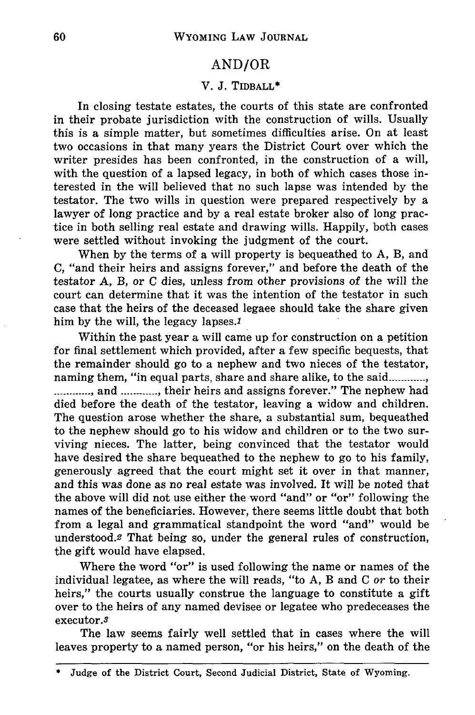## AND/OR

### V. **J.** TIDBALL\*

In closing testate estates, the courts of this state are confronted in their probate jurisdiction with the construction of wills. Usually this is a simple matter, but sometimes difficulties arise. On at least two occasions in that many years the District Court over which the writer presides has been confronted, in the construction of a will, with the question of a lapsed legacy, in both of which cases those interested in the will believed that no such lapse was intended by the testator. The two wills in question were prepared respectively by a lawyer of long practice and by a real estate broker also of long practice in both selling real estate and drawing wills. Happily, both cases were settled without invoking the judgment of the court.

When by the terms of a will property is bequeathed to A, B, and C, "and their heirs and assigns forever," and before the death of the testator A, B, or C dies, unless from other provisions of the will the court can determine that it was the intention of the testator in such case that the heirs of the deceased legaee should take the share given him by the will, the legacy lapses.

Within the past year a will came up for construction on a petition for final settlement which provided, after a few specific bequests, that the remainder should go to a nephew and two nieces of the testator, naming them, "in equal parts, share and share alike, to the said............ ............., and ............, their heirs and assigns forever." The nephew had died before the death of the testator, leaving a widow and children. The question arose whether the share, a substantial sum, bequeathed to the nephew should go to his widow and children or to the two surviving nieces. The latter, being convinced that the testator would have desired the share bequeathed to the nephew to go to his family, generously agreed that the court might set it over in that manner, and this was done as no real estate was involved. It will be noted that the above will did not use either the word "and" or "or" following the names of the beneficiaries. However, there seems little doubt that both from a legal and grammatical standpoint the word "and" would be understood.2 That being so, under the general rules of construction, the gift would have elapsed.

Where the word "or" is used following the name or names of the individual legatee, as where the will reads, "to A, B and C or to their heirs," the courts usually construe the language to constitute a gift over to the heirs of any named devisee or legatee who predeceases the executor.3

The law seems fairly well settled that in cases where the will leaves property to a named person, "or his heirs," on the death of the

Judge of the District Court, Second Judicial District, State of Wyoming.